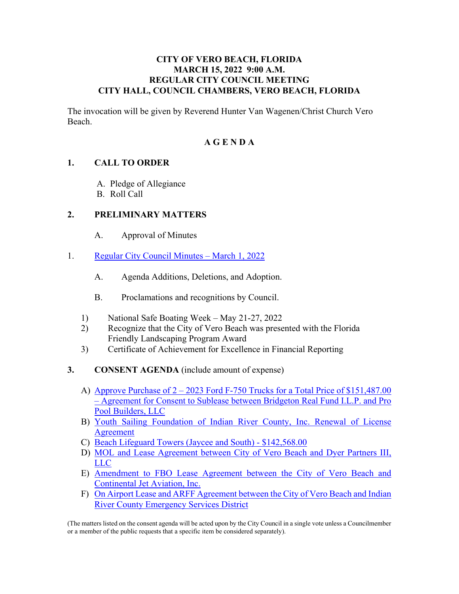#### **CITY OF VERO BEACH, FLORIDA MARCH 15, 2022 9:00 A.M. REGULAR CITY COUNCIL MEETING CITY HALL, COUNCIL CHAMBERS, VERO BEACH, FLORIDA**

The invocation will be given by Reverend Hunter Van Wagenen/Christ Church Vero Beach.

#### **A G E N D A**

#### **1. CALL TO ORDER**

- A. Pledge of Allegiance
- B. Roll Call

#### **2. PRELIMINARY MATTERS**

- A. Approval of Minutes
- 1. [Regular City Council Minutes March 1, 2022](https://www.covb.org/DocumentCenter/View/5784/2A-1) 
	- A. Agenda Additions, Deletions, and Adoption.
	- B. Proclamations and recognitions by Council.
	- 1) National Safe Boating Week May 21-27, 2022
	- 2) Recognize that the City of Vero Beach was presented with the Florida Friendly Landscaping Program Award
	- 3) Certificate of Achievement for Excellence in Financial Reporting
- **3. CONSENT AGENDA** (include amount of expense)
	- [A\) Approve Purchase of 2 2023 Ford F-750 Trucks for a Total Price of \\$151,487.00](https://www.covb.org/DocumentCenter/View/5785/3-A)  [– Agreement for Consent to Sublease between Bridgeton Real Fund I.L.P. and Pro](https://www.covb.org/DocumentCenter/View/5785/3-A)  [Pool Builders, LLC](https://www.covb.org/DocumentCenter/View/5785/3-A)
	- [B\) Youth Sailing Foundation of Indian River County, Inc. Renewal of License](https://www.covb.org/DocumentCenter/View/5786/3-B)  [Agreement](https://www.covb.org/DocumentCenter/View/5786/3-B)
	- C) [Beach Lifeguard Towers \(Jaycee and South\) \\$142,568.00](https://www.covb.org/DocumentCenter/View/5787/3-C)
	- [D\) MOL and Lease Agreement between City of Vero Beach and Dyer Partners III,](https://www.covb.org/DocumentCenter/View/5788/3-D)  [LLC](https://www.covb.org/DocumentCenter/View/5788/3-D)
	- [E\) Amendment to FBO Lease Agreement between the City of Vero Beach and](https://www.covb.org/DocumentCenter/View/5789/3-E)  [Continental Jet Aviation, Inc.](https://www.covb.org/DocumentCenter/View/5789/3-E)
	- [F\) On Airport Lease and ARFF Agreement between the City of Vero Beach and Indian](https://www.covb.org/DocumentCenter/View/5790/3-F)  [River County Emergency Services District](https://www.covb.org/DocumentCenter/View/5790/3-F)

(The matters listed on the consent agenda will be acted upon by the City Council in a single vote unless a Councilmember or a member of the public requests that a specific item be considered separately).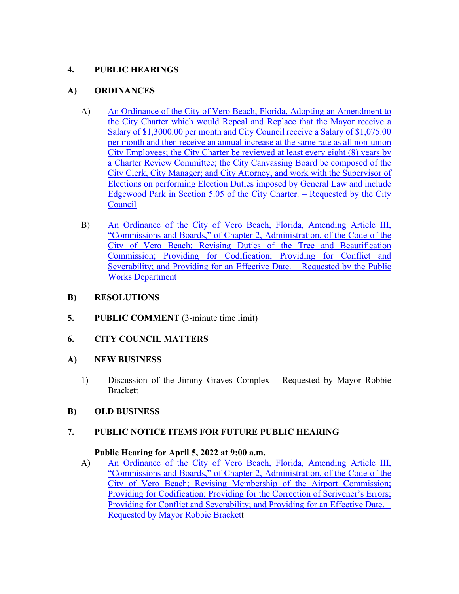## **4. PUBLIC HEARINGS**

## **A) ORDINANCES**

- A) An Ordinance of the City of Vero Beach, Florida, Adopting an Amendment to [the City Charter which would Repeal and Replace that the Mayor receive a](https://www.covb.org/DocumentCenter/View/5791/4-A)  [Salary of \\$1,3000.00 per month and City Council receive a Salary of \\$1,075.00](https://www.covb.org/DocumentCenter/View/5791/4-A)  [per month and then receive an annual increase at the same rate as all non-union](https://www.covb.org/DocumentCenter/View/5791/4-A)  [City Employees; the City Charter be reviewed at least every eight \(8\) years by](https://www.covb.org/DocumentCenter/View/5791/4-A)  [a Charter Review Committee; the City Canvassing Board be composed of the](https://www.covb.org/DocumentCenter/View/5791/4-A)  [City Clerk, City Manager; and City Attorney, and work with the Supervisor of](https://www.covb.org/DocumentCenter/View/5791/4-A)  [Elections on performing Election Duties imposed by General Law and include](https://www.covb.org/DocumentCenter/View/5791/4-A)  [Edgewood Park in Section 5.05 of the City Charter. – Requested by the City](https://www.covb.org/DocumentCenter/View/5791/4-A)  [Council](https://www.covb.org/DocumentCenter/View/5791/4-A)
- [Commission; Providing for Codification; Providing for Conflict and](https://www.covb.org/DocumentCenter/View/5792/4-B)  [B\) An Ordinance of the City of Vero Beach, Florida, Amending Article III,](https://www.covb.org/DocumentCenter/View/5792/4-B)  ["Commissions and Boards," of Chapter 2, Administration, of the Code of the](https://www.covb.org/DocumentCenter/View/5792/4-B)  [City of Vero Beach; Revising Duties of the Tree and Beautification](https://www.covb.org/DocumentCenter/View/5792/4-B)  [Severability; and Providing for an Effective Date. – Requested by the Public](https://www.covb.org/DocumentCenter/View/5792/4-B)  [Works Department](https://www.covb.org/DocumentCenter/View/5792/4-B)
- **B) RESOLUTIONS**
- **5.** PUBLIC COMMENT (3-minute time limit)
- **6. CITY COUNCIL MATTERS**
- **A) NEW BUSINESS** 
	- 1) Discussion of the Jimmy Graves Complex Requested by Mayor Robbie Brackett
- **B) OLD BUSINESS**

# **7. PUBLIC NOTICE ITEMS FOR FUTURE PUBLIC HEARING Public Hearing for April 5, 2022 at 9:00 a.m.**

## Public Hearing for April 5, 2022 at 9:00 a.m.

[A\) An Ordinance of the City of Vero Beach, Florida, Amending Article III,](https://www.covb.org/DocumentCenter/View/5793/7-A)  ["Commissions and Boards," of Chapter 2, Administration, of the Code of the](https://www.covb.org/DocumentCenter/View/5793/7-A)  [City of Vero Beach; Revising Membership of the Airport Commission;](https://www.covb.org/DocumentCenter/View/5793/7-A)  [Providing for Codification; Providing for the Correction of Scrivener's Errors;](https://www.covb.org/DocumentCenter/View/5793/7-A)  [Providing for Conflict and Severability; and Providing for an Effective Date. –](https://www.covb.org/DocumentCenter/View/5793/7-A)  [Requested by Mayor Robbie Brackett](https://www.covb.org/DocumentCenter/View/5793/7-A)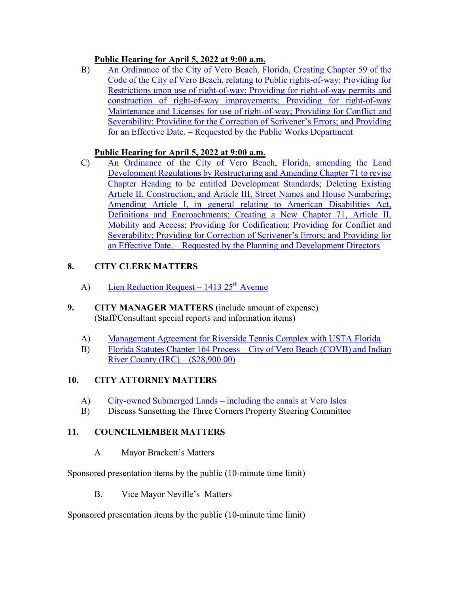## **Public Hearing for April 5, 2022 at 9:00 a.m.**

[B\) An Ordinance of the City of Vero Beach, Florida, Creating Chapter 59 of the](https://www.covb.org/DocumentCenter/View/5794/7-B)  [Code of the City of Vero Beach, relating to Public rights-of-way; Providing for](https://www.covb.org/DocumentCenter/View/5794/7-B)  [Restrictions upon use of right-of-way; Providing for right-of-way permits and](https://www.covb.org/DocumentCenter/View/5794/7-B)  [construction of right-of-way improvements; Providing for right-of-way](https://www.covb.org/DocumentCenter/View/5794/7-B)  [Maintenance and Licenses for use of right-of-way; Providing for Conflict and](https://www.covb.org/DocumentCenter/View/5794/7-B)  [Severability; Providing for the Correction of Scrivener's Errors; and Providing](https://www.covb.org/DocumentCenter/View/5794/7-B)  [for an Effective Date. – Requested by the Public Works Department](https://www.covb.org/DocumentCenter/View/5794/7-B) 

# **Public Hearing for April 5, 2022 at 9:00 a.m.**

C) An Ordinance of the City of Vero Beach, Florida, amending the Land [Chapter Heading to be entitled Development Standards; Deleting Existing](https://www.covb.org/DocumentCenter/View/5795/7-C)  Article II, Construction, and Article III, Street Names and House Numbering; [Development Regulations by Restructuring and Amending Chapter 71 to revise](https://www.covb.org/DocumentCenter/View/5795/7-C)  [Amending Article I, in general relating to American Disabilities Act,](https://www.covb.org/DocumentCenter/View/5795/7-C)  [Definitions and Encroachments; Creating a New Chapter 71, Article II,](https://www.covb.org/DocumentCenter/View/5795/7-C)  [Mobility and Access; Providing for Codification; Providing for Conflict and](https://www.covb.org/DocumentCenter/View/5795/7-C)  [Severability; Providing for Correction of Scrivener's Errors; and Providing for](https://www.covb.org/DocumentCenter/View/5795/7-C)  [an Effective Date. – Requested by the Planning and Development Directors](https://www.covb.org/DocumentCenter/View/5795/7-C) 

# **8. CITY CLERK MATTERS**

- A) Lien Reduction Request 1413  $25<sup>th</sup>$  Avenue
- **9. CITY MANAGER MATTERS** (include amount of expense) (Staff/Consultant special reports and information items)
	- (A) Management Agreement for Riverside Tennis Complex with USTA Florida
	- [B\) Florida Statutes Chapter 164 Process City of Vero Beach \(COVB\) and Indian](https://www.covb.org/DocumentCenter/View/5798/9-B)  [River County \(IRC\) – \(\\$28,900.00\)](https://www.covb.org/DocumentCenter/View/5798/9-B)

# **10. CITY ATTORNEY MATTERS**

- A) [City-owned Submerged Lands including the canals at Vero Isles](https://www.covb.org/DocumentCenter/View/5799/10-A)
- B) Discuss Sunsetting the Three Corners Property Steering Committee

# **11. COUNCILMEMBER MATTERS**

A. Mayor Brackett's Matters

Sponsored presentation items by the public (10-minute time limit)

B. Vice Mayor Neville's Matters

Sponsored presentation items by the public (10-minute time limit)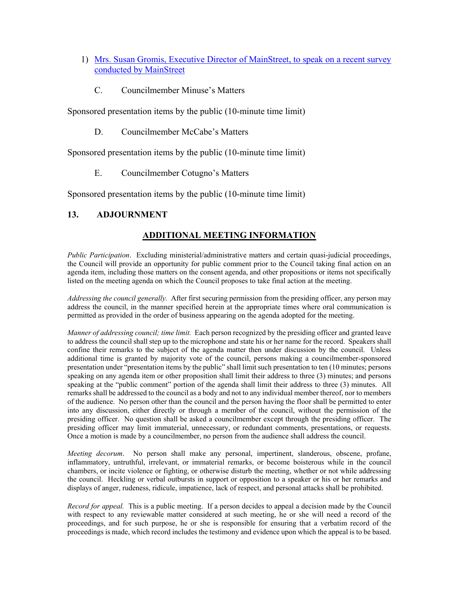- [1\) Mrs. Susan Gromis, Executive Director of MainStreet, to speak on a recent survey](https://www.covb.org/DocumentCenter/View/5800/11B-1)  [conducted by MainStreet](https://www.covb.org/DocumentCenter/View/5800/11B-1) 
	- C. Councilmember Minuse's Matters

Sponsored presentation items by the public (10-minute time limit)

D. Councilmember McCabe's Matters

Sponsored presentation items by the public (10-minute time limit)

E. Councilmember Cotugno's Matters

Sponsored presentation items by the public (10-minute time limit)

#### **13. ADJOURNMENT**

## **ADDITIONAL MEETING INFORMATION**

 *Public Participation*. Excluding ministerial/administrative matters and certain quasi-judicial proceedings, the Council will provide an opportunity for public comment prior to the Council taking final action on an agenda item, including those matters on the consent agenda, and other propositions or items not specifically listed on the meeting agenda on which the Council proposes to take final action at the meeting.

 *Addressing the council generally.* After first securing permission from the presiding officer, any person may permitted as provided in the order of business appearing on the agenda adopted for the meeting. address the council, in the manner specified herein at the appropriate times where oral communication is

 *Manner of addressing council; time limit.* Each person recognized by the presiding officer and granted leave to address the council shall step up to the microphone and state his or her name for the record. Speakers shall confine their remarks to the subject of the agenda matter then under discussion by the council. Unless speaking at the "public comment" portion of the agenda shall limit their address to three (3) minutes. All remarks shall be addressed to the council as a body and not to any individual member thereof, nor to members of the audience. No person other than the council and the person having the floor shall be permitted to enter into any discussion, either directly or through a member of the council, without the permission of the presiding officer. No question shall be asked a councilmember except through the presiding officer. The presiding officer may limit immaterial, unnecessary, or redundant comments, presentations, or requests. Once a motion is made by a councilmember, no person from the audience shall address the council. additional time is granted by majority vote of the council, persons making a councilmember-sponsored presentation under "presentation items by the public" shall limit such presentation to ten (10 minutes; persons speaking on any agenda item or other proposition shall limit their address to three (3) minutes; and persons

 *Meeting decorum*. No person shall make any personal, impertinent, slanderous, obscene, profane, inflammatory, untruthful, irrelevant, or immaterial remarks, or become boisterous while in the council chambers, or incite violence or fighting, or otherwise disturb the meeting, whether or not while addressing the council. Heckling or verbal outbursts in support or opposition to a speaker or his or her remarks and displays of anger, rudeness, ridicule, impatience, lack of respect, and personal attacks shall be prohibited.

 *Record for appeal.* This is a public meeting. If a person decides to appeal a decision made by the Council proceedings, and for such purpose, he or she is responsible for ensuring that a verbatim record of the proceedings is made, which record includes the testimony and evidence upon which the appeal is to be based. with respect to any reviewable matter considered at such meeting, he or she will need a record of the